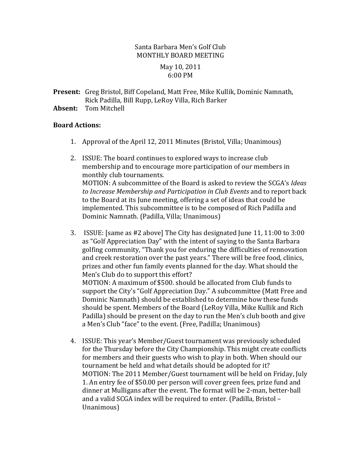## Santa Barbara Men's Golf Club MONTHLY BOARD MEETING

## May 10, 2011 6:00 PM

- **Present:** Greg Bristol, Biff Copeland, Matt Free, Mike Kullik, Dominic Namnath, Rick Padilla, Bill Rupp, LeRoy Villa, Rich Barker
- **Absent:** Tom Mitchell

## **Board.Actions:**

- 1. Approval of the April 12, 2011 Minutes (Bristol, Villa; Unanimous)
- 2. ISSUE: The board continues to explored ways to increase club membership and to encourage more participation of our members in monthly club tournaments. MOTION:%A%subcommittee%of%the%Board%is%asked%to%review%the%SCGA's%*Ideas&* to Increase Membership and Participation in Club Events and to report back to the Board at its June meeting, offering a set of ideas that could be implemented. This subcommittee is to be composed of Rich Padilla and Dominic Namnath. (Padilla, Villa; Unanimous)
- 3. ISSUE: [same as #2 above] The City has designated June  $11, 11:00$  to  $3:00$ as "Golf Appreciation Day" with the intent of saying to the Santa Barbara golfing community, "Thank you for enduring the difficulties of rennovation and creek restoration over the past years." There will be free food, clinics, prizes and other fun family events planned for the day. What should the Men's Club do to support this effort? MOTION: A maximum of \$500. should be allocated from Club funds to support the City's "Golf Appreciation Day." A subcommittee (Matt Free and Dominic Namnath) should be established to determine how these funds should be spent. Members of the Board (LeRoy Villa, Mike Kullik and Rich Padilla) should be present on the day to run the Men's club booth and give a Men's Club "face" to the event. (Free, Padilla; Unanimous)
- 4. ISSUE: This year's Member/Guest tournament was previously scheduled for the Thursday before the City Championship. This might create conflicts for members and their guests who wish to play in both. When should our tournament be held and what details should be adopted for it? MOTION: The 2011 Member/Guest tournament will be held on Friday, July 1. An entry fee of \$50.00 per person will cover green fees, prize fund and dinner at Mulligans after the event. The format will be 2-man, better-ball and a valid SCGA index will be required to enter. (Padilla, Bristol – Unanimous)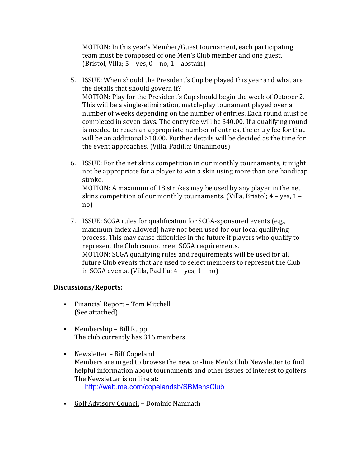MOTION: In this year's Member/Guest tournament, each participating team must be composed of one Men's Club member and one guest. (Bristol, Villa;  $5 - yes$ ,  $0 - no$ ,  $1 - abstain$ )

- 5. ISSUE: When should the President's Cup be played this year and what are the details that should govern it? MOTION: Play for the President's Cup should begin the week of October 2. This will be a single-elimination, match-play tounament played over a number of weeks depending on the number of entries. Each round must be completed in seven days. The entry fee will be \$40.00. If a qualifying round is needed to reach an appropriate number of entries, the entry fee for that will be an additional  $$10.00$ . Further details will be decided as the time for the event approaches. (Villa, Padilla; Unanimous)
- 6. ISSUE: For the net skins competition in our monthly tournaments, it might not be appropriate for a player to win a skin using more than one handicap stroke. MOTION: A maximum of 18 strokes may be used by any player in the net skins competition of our monthly tournaments. (Villa, Bristol;  $4 - yes$ ,  $1$ no)
- 7. ISSUE: SCGA rules for qualification for SCGA-sponsored events (e.g., maximum index allowed) have not been used for our local qualifying process. This may cause diffculties in the future if players who qualify to represent the Club cannot meet SCGA requirements. MOTION: SCGA qualifying rules and requirements will be used for all future Club events that are used to select members to represent the Club in SCGA events. (Villa, Padilla;  $4 - yes$ ,  $1 - no$ )

## **Discussions/Reports:**

- Financial Report Tom Mitchell (See attached)
- Membership Bill Rupp The club currently has 316 members
- Newsletter Biff Copeland Members are urged to browse the new on-line Men's Club Newsletter to find helpful information about tournaments and other issues of interest to golfers. The Newsletter is on line at: http://web.me.com/copelandsb/SBMensClub
- Golf Advisory Council Dominic Namnath